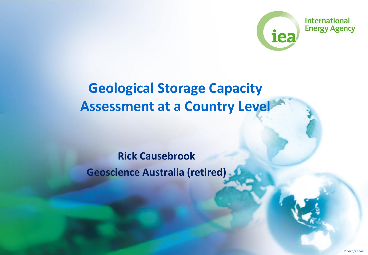

### **Geological Storage Capacity Assessment at a Country Level**

#### **Rick Causebrook Geoscience Australia (retired)**

© OECD/IEA 2012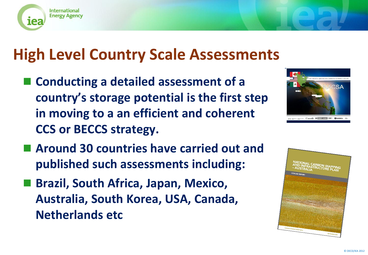

### **High Level Country Scale Assessments**

■ Conducting a detailed assessment of a **country's storage potential is the first step in moving to a an efficient and coherent CCS or BECCS strategy.**



- Around 30 countries have carried out and **published such assessments including:**
- Brazil, South Africa, Japan, Mexico, **Australia, South Korea, USA, Canada, Netherlands etc**

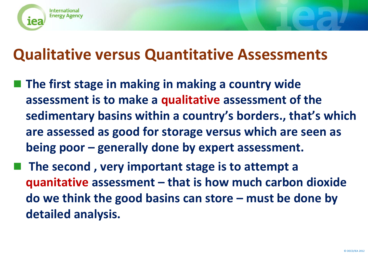

### **Qualitative versus Quantitative Assessments**

- **The first stage in making in making a country wide assessment is to make a qualitative assessment of the sedimentary basins within a country's borders., that's which are assessed as good for storage versus which are seen as being poor – generally done by expert assessment.**
- **The second, very important stage is to attempt a quanitative assessment – that is how much carbon dioxide do we think the good basins can store – must be done by detailed analysis.**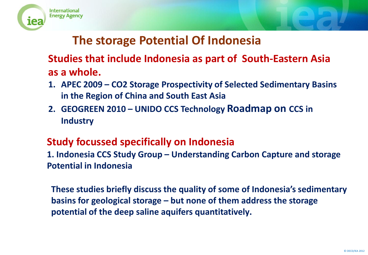



#### **The storage Potential Of Indonesia**

#### **Studies that include Indonesia as part of South-Eastern Asia as a whole.**

- **1. APEC 2009 – CO2 Storage Prospectivity of Selected Sedimentary Basins in the Region of China and South East Asia**
- **2. GEOGREEN 2010 – UNIDO CCS Technology Roadmap on CCS in Industry**

#### **Study focussed specifically on Indonesia**

**1. Indonesia CCS Study Group – Understanding Carbon Capture and storage Potential in Indonesia**

**These studies briefly discuss the quality of some of Indonesia's sedimentary basins for geological storage – but none of them address the storage potential of the deep saline aquifers quantitatively.**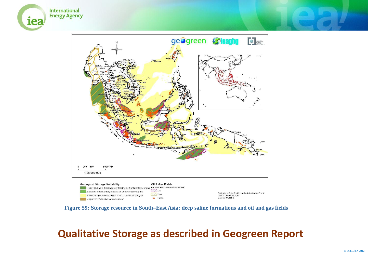



**Figure 59: Storage resource in South–East Asia: deep saline formations and oil and gas fields**

/// Gas

 $\triangle$  Field

Possible, Sedimentary Basins or Continental Margins

Unproven, Extrusive volcanic rocks

#### **Qualitative Storage as described in Geogreen Report**

Projection: Asia South Lambert Conformal Conic

Central meridian: 125°

Datum: WGS.84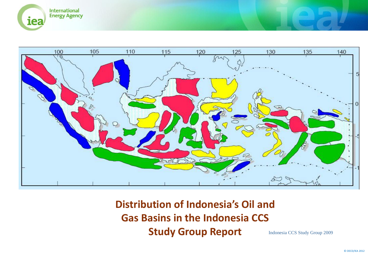



**Distribution of Indonesia's Oil and Gas Basins in the Indonesia CCS Study Group Report** Indonesia CCS Study Group 2009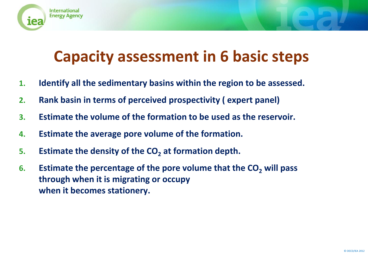

# **Capacity assessment in 6 basic steps**

- **1. Identify all the sedimentary basins within the region to be assessed.**
- **2. Rank basin in terms of perceived prospectivity ( expert panel)**
- **3. Estimate the volume of the formation to be used as the reservoir.**
- **4. Estimate the average pore volume of the formation.**
- **5. Estimate the density of the CO<sup>2</sup> at formation depth.**
- **6.** Estimate the percentage of the pore volume that the CO<sub>2</sub> will pass **through when it is migrating or occupy when it becomes stationery.**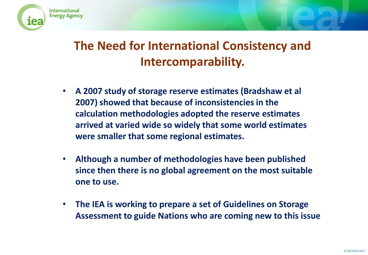### **The Need for International Consistency and Intercomparability.**

International **Energy Agency** 

- **A 2007 study of storage reserve estimates (Bradshaw et al 2007) showed that because of inconsistencies in the calculation methodologies adopted the reserve estimates arrived at varied wide so widely that some world estimates were smaller that some regional estimates.**
- **Although a number of methodologies have been published since then there is no global agreement on the most suitable one to use.**
- **The IEA is working to prepare a set of Guidelines on Storage Assessment to guide Nations who are coming new to this issue**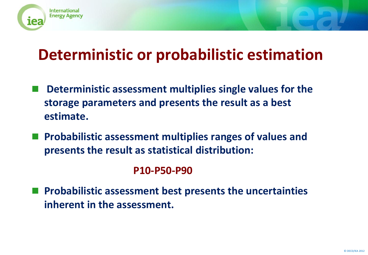

# **Deterministic or probabilistic estimation**

- **Deterministic assessment multiplies single values for the storage parameters and presents the result as a best estimate.**
- **Probabilistic assessment multiplies ranges of values and presents the result as statistical distribution:**

#### **P10-P50-P90**

 **Probabilistic assessment best presents the uncertainties inherent in the assessment.**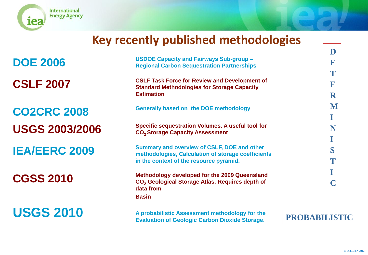

iea

International **Energy Agency** 

**CGSS 2010**

**USGS 2010**

**DOE 2006 USDOE Capacity and Fairways Sub-group – Regional Carbon Sequestration Partnerships CSLF 2007** CSLF Task Force for Review and Development of **CSLF** 2007 **Estimation CO2CRC 2008 Generally based on the DOE methodology USGS 2003/2006 Specific sequestration Volumes. A useful tool for CO2 Storage Capacity Assessment IEA/EERC 2009 Summary and overview of CSLF, DOE and other methodologies, Calculation of storage coefficients in the context of the resource pyramid. Methodology developed for the 2009 Queensland CO<sup>2</sup> Geological Storage Atlas. Requires depth of data from Basin**

> **A probabilistic Assessment methodology for the Evaluation of Geologic Carbon Dioxide Storage.**

**PROBABILISTIC**

**D**

**E**

**T**

**E**

**R**

**M**

**I**

**N**

**I**

**S**

**T**

**I**

**C**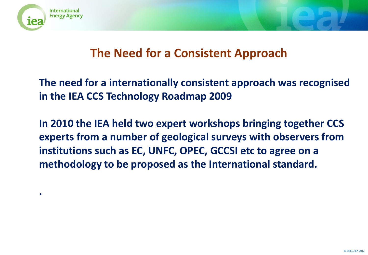

**.**

#### **The Need for a Consistent Approach**

**The need for a internationally consistent approach was recognised in the IEA CCS Technology Roadmap 2009**

**In 2010 the IEA held two expert workshops bringing together CCS experts from a number of geological surveys with observers from institutions such as EC, UNFC, OPEC, GCCSI etc to agree on a methodology to be proposed as the International standard.**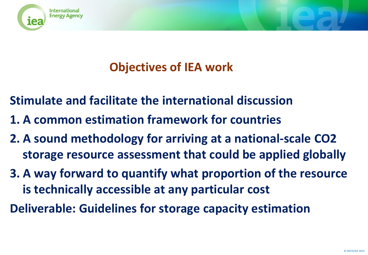

### **Objectives of IEA work**

**Stimulate and facilitate the international discussion**

- **1. A common estimation framework for countries**
- **2. A sound methodology for arriving at a national-scale CO2 storage resource assessment that could be applied globally**
- **3. A way forward to quantify what proportion of the resource is technically accessible at any particular cost**

**Deliverable: Guidelines for storage capacity estimation**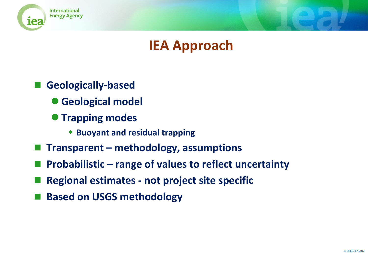

### **IEA Approach**

- **Geologically-based**
	- **Geological model**
	- **Trapping modes** 
		- **Buoyant and residual trapping**
- **Transparent – methodology, assumptions**
- **Probabilistic – range of values to reflect uncertainty**
- **Regional estimates - not project site specific**
- **Based on USGS methodology**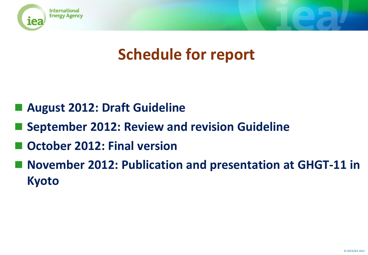

# **Schedule for report**

- **August 2012: Draft Guideline**
- **September 2012: Review and revision Guideline**
- **October 2012: Final version**
- **November 2012: Publication and presentation at GHGT-11 in Kyoto**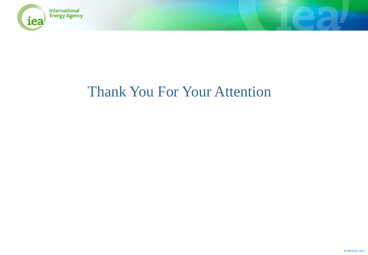

### Thank You For Your Attention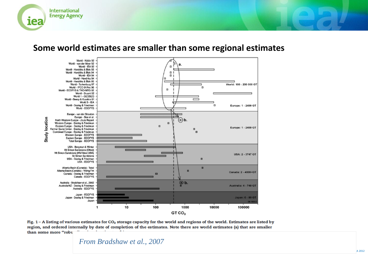

#### **Some world estimates are smaller than some regional estimates**



Fig.  $1 - A$  listing of various estimates for  $CO<sub>2</sub>$  storage capacity for the world and regions of the world. Estimates are listed by region, and ordered internally by date of completion of the estimates. Note there are world estimates (a) that are smaller than some more "robu

#### After Bradshaw et al, 2007 *From Bradshaw et al., 2007*